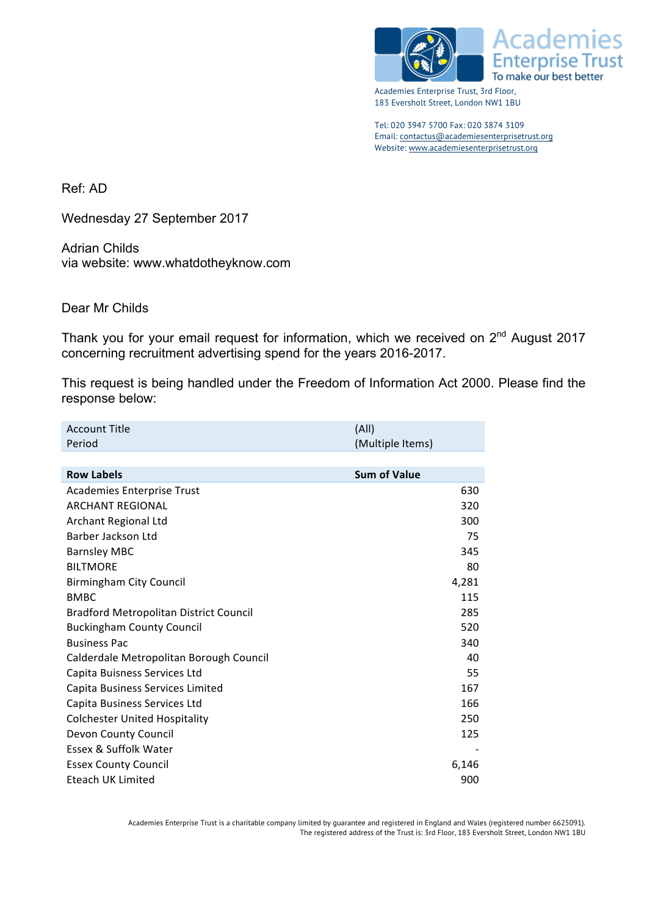



Academies Enterprise Trust, 3rd Floor, 183 Eversholt Street, London NW1 1BU

Tel: 020 3947 5700 Fax: 020 3874 3109 Email: contactus@academiesenterprisetrust.org Website: www.academiesenterprisetrust.org

Ref: AD

Wednesday 27 September 2017

Adrian Childs via website: www.whatdotheyknow.com

Dear Mr Childs

Thank you for your email request for information, which we received on 2<sup>nd</sup> August 2017 concerning recruitment advertising spend for the years 2016-2017.

This request is being handled under the Freedom of Information Act 2000. Please find the response below:

| <b>Account Title</b>                          | (A  )               |
|-----------------------------------------------|---------------------|
| Period                                        | (Multiple Items)    |
|                                               |                     |
| <b>Row Labels</b>                             | <b>Sum of Value</b> |
| <b>Academies Enterprise Trust</b>             | 630                 |
| <b>ARCHANT REGIONAL</b>                       | 320                 |
| Archant Regional Ltd                          | 300                 |
| Barber Jackson Ltd                            | 75                  |
| <b>Barnsley MBC</b>                           | 345                 |
| <b>BILTMORE</b>                               | 80                  |
| <b>Birmingham City Council</b>                | 4,281               |
| <b>BMBC</b>                                   | 115                 |
| <b>Bradford Metropolitan District Council</b> | 285                 |
| <b>Buckingham County Council</b>              | 520                 |
| <b>Business Pac</b>                           | 340                 |
| Calderdale Metropolitan Borough Council       | 40                  |
| Capita Buisness Services Ltd                  | 55                  |
| Capita Business Services Limited              | 167                 |
| Capita Business Services Ltd                  | 166                 |
| <b>Colchester United Hospitality</b>          | 250                 |
| Devon County Council                          | 125                 |
| Essex & Suffolk Water                         |                     |
| <b>Essex County Council</b>                   | 6,146               |
| Eteach UK Limited                             | 900                 |
|                                               |                     |

Academies Enterprise Trust is a charitable company limited by guarantee and registered in England and Wales (registered number 6625091). The registered address of the Trust is: 3rd Floor, 183 Eversholt Street, London NW1 1BU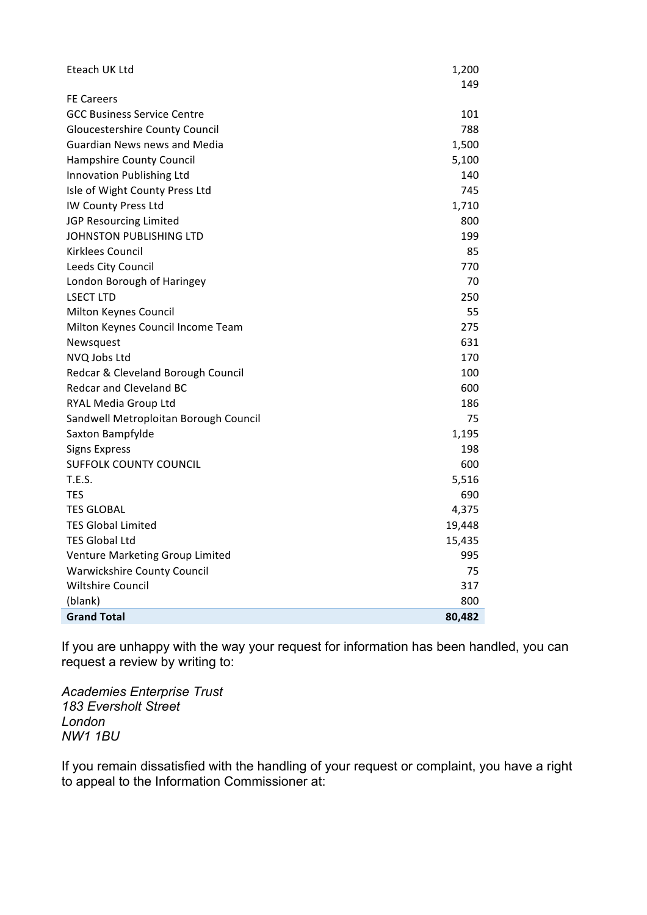| Eteach UK Ltd                         | 1,200<br>149 |
|---------------------------------------|--------------|
| <b>FE Careers</b>                     |              |
| <b>GCC Business Service Centre</b>    | 101          |
| <b>Gloucestershire County Council</b> | 788          |
| <b>Guardian News news and Media</b>   | 1,500        |
| Hampshire County Council              | 5,100        |
| Innovation Publishing Ltd             | 140          |
| Isle of Wight County Press Ltd        | 745          |
| IW County Press Ltd                   | 1,710        |
| JGP Resourcing Limited                | 800          |
| JOHNSTON PUBLISHING LTD               | 199          |
| Kirklees Council                      | 85           |
| Leeds City Council                    | 770          |
| London Borough of Haringey            | 70           |
| <b>LSECT LTD</b>                      | 250          |
| Milton Keynes Council                 | 55           |
| Milton Keynes Council Income Team     | 275          |
| Newsquest                             | 631          |
| NVQ Jobs Ltd                          | 170          |
| Redcar & Cleveland Borough Council    | 100          |
| Redcar and Cleveland BC               | 600          |
| RYAL Media Group Ltd                  | 186          |
| Sandwell Metroploitan Borough Council | 75           |
| Saxton Bampfylde                      | 1,195        |
| <b>Signs Express</b>                  | 198          |
| <b>SUFFOLK COUNTY COUNCIL</b>         | 600          |
| T.E.S.                                | 5,516        |
| TES                                   | 690          |
| <b>TES GLOBAL</b>                     | 4,375        |
| <b>TES Global Limited</b>             | 19,448       |
| <b>TES Global Ltd</b>                 | 15,435       |
| Venture Marketing Group Limited       | 995          |
| <b>Warwickshire County Council</b>    | 75           |
| <b>Wiltshire Council</b>              | 317          |
| (blank)                               | 800          |
| <b>Grand Total</b>                    | 80,482       |

If you are unhappy with the way your request for information has been handled, you can request a review by writing to:

*Academies Enterprise Trust 183 Eversholt Street London NW1 1BU*

If you remain dissatisfied with the handling of your request or complaint, you have a right to appeal to the Information Commissioner at: